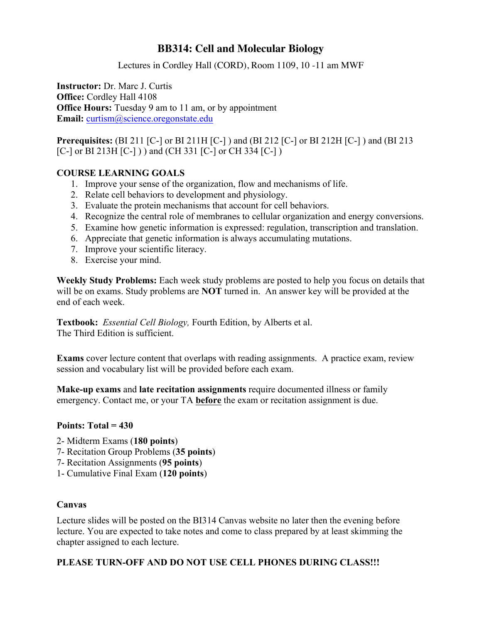# **BB314: Cell and Molecular Biology**

Lectures in Cordley Hall (CORD), Room 1109, 10 -11 am MWF

**Instructor:** Dr. Marc J. Curtis **Office:** Cordley Hall 4108 **Office Hours:** Tuesday 9 am to 11 am, or by appointment **Email:** curtism@science.oregonstate.edu

**Prerequisites:** (BI 211 [C-] or BI 211H [C-] ) and (BI 212 [C-] or BI 212H [C-] ) and (BI 213 [C-] or BI 213H [C-] ) ) and (CH 331 [C-] or CH 334 [C-] )

## **COURSE LEARNING GOALS**

- 1. Improve your sense of the organization, flow and mechanisms of life.
- 2. Relate cell behaviors to development and physiology.
- 3. Evaluate the protein mechanisms that account for cell behaviors.
- 4. Recognize the central role of membranes to cellular organization and energy conversions.
- 5. Examine how genetic information is expressed: regulation, transcription and translation.
- 6. Appreciate that genetic information is always accumulating mutations.
- 7. Improve your scientific literacy.
- 8. Exercise your mind.

**Weekly Study Problems:** Each week study problems are posted to help you focus on details that will be on exams. Study problems are **NOT** turned in. An answer key will be provided at the end of each week.

**Textbook:** *Essential Cell Biology,* Fourth Edition, by Alberts et al. The Third Edition is sufficient.

**Exams** cover lecture content that overlaps with reading assignments. A practice exam, review session and vocabulary list will be provided before each exam.

**Make-up exams** and **late recitation assignments** require documented illness or family emergency. Contact me, or your TA **before** the exam or recitation assignment is due.

## **Points: Total = 430**

- 2- Midterm Exams (**180 points**)
- 7- Recitation Group Problems (**35 points**)
- 7- Recitation Assignments (**95 points**)
- 1- Cumulative Final Exam (**120 points**)

## **Canvas**

Lecture slides will be posted on the BI314 Canvas website no later then the evening before lecture. You are expected to take notes and come to class prepared by at least skimming the chapter assigned to each lecture.

## **PLEASE TURN-OFF AND DO NOT USE CELL PHONES DURING CLASS!!!**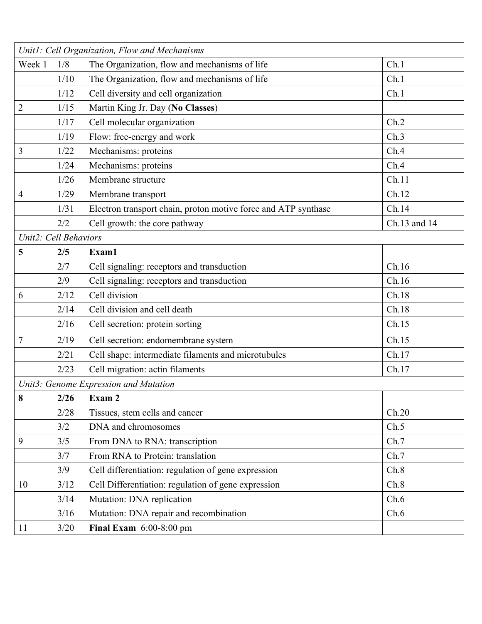|                                       |      | Unit1: Cell Organization, Flow and Mechanisms                  |              |  |  |  |
|---------------------------------------|------|----------------------------------------------------------------|--------------|--|--|--|
| Week 1                                | 1/8  | The Organization, flow and mechanisms of life                  | Ch.1         |  |  |  |
|                                       | 1/10 | The Organization, flow and mechanisms of life                  | Ch.1         |  |  |  |
|                                       | 1/12 | Cell diversity and cell organization                           | Ch.1         |  |  |  |
| $\overline{c}$                        | 1/15 | Martin King Jr. Day (No Classes)                               |              |  |  |  |
|                                       | 1/17 | Cell molecular organization                                    | Ch.2         |  |  |  |
|                                       | 1/19 | Flow: free-energy and work                                     | Ch.3         |  |  |  |
| 3                                     | 1/22 | Mechanisms: proteins                                           | Ch.4         |  |  |  |
|                                       | 1/24 | Mechanisms: proteins                                           | Ch.4         |  |  |  |
|                                       | 1/26 | Membrane structure                                             | Ch.11        |  |  |  |
| $\overline{4}$                        | 1/29 | Membrane transport                                             | Ch.12        |  |  |  |
|                                       | 1/31 | Electron transport chain, proton motive force and ATP synthase | Ch.14        |  |  |  |
|                                       | 2/2  | Cell growth: the core pathway                                  | Ch.13 and 14 |  |  |  |
| Unit2: Cell Behaviors                 |      |                                                                |              |  |  |  |
| 5                                     | 2/5  | Exam1                                                          |              |  |  |  |
|                                       | 2/7  | Cell signaling: receptors and transduction                     | Ch.16        |  |  |  |
|                                       | 2/9  | Cell signaling: receptors and transduction                     | Ch.16        |  |  |  |
| 6                                     | 2/12 | Cell division                                                  | Ch.18        |  |  |  |
|                                       | 2/14 | Cell division and cell death                                   | Ch.18        |  |  |  |
|                                       | 2/16 | Cell secretion: protein sorting                                | Ch.15        |  |  |  |
| 7                                     | 2/19 | Cell secretion: endomembrane system                            | Ch.15        |  |  |  |
|                                       | 2/21 | Cell shape: intermediate filaments and microtubules            | Ch.17        |  |  |  |
|                                       | 2/23 | Cell migration: actin filaments                                | Ch.17        |  |  |  |
| Unit3: Genome Expression and Mutation |      |                                                                |              |  |  |  |
| 8                                     | 2/26 | $\vert$ Exam 2                                                 |              |  |  |  |
|                                       | 2/28 | Tissues, stem cells and cancer                                 | Ch.20        |  |  |  |
|                                       | 3/2  | DNA and chromosomes                                            | Ch.5         |  |  |  |
| 9                                     | 3/5  | From DNA to RNA: transcription                                 | Ch.7         |  |  |  |
|                                       | 3/7  | From RNA to Protein: translation                               | Ch.7         |  |  |  |
|                                       | 3/9  | Cell differentiation: regulation of gene expression            | Ch.8         |  |  |  |
| 10                                    | 3/12 | Cell Differentiation: regulation of gene expression            | Ch.8         |  |  |  |
|                                       | 3/14 | Mutation: DNA replication                                      | Ch.6         |  |  |  |
|                                       | 3/16 | Mutation: DNA repair and recombination                         | Ch.6         |  |  |  |
| 11                                    | 3/20 | Final Exam $6:00-8:00$ pm                                      |              |  |  |  |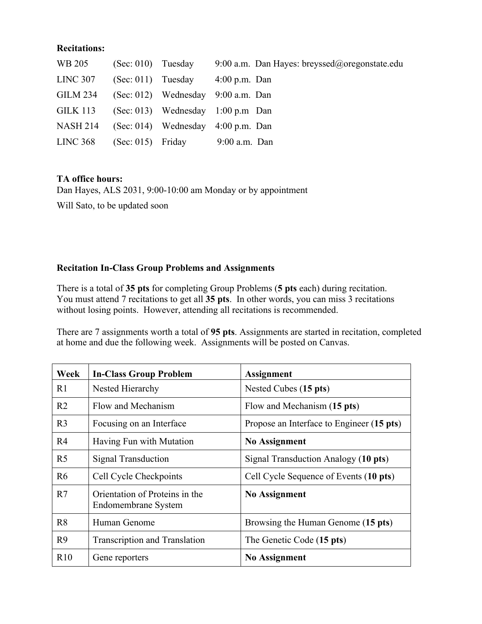#### **Recitations:**

| WB 205          | $(Sec: 010)$ Tuesday | 9:00 a.m. Dan Hayes: breyssed@oregonstate.edu |
|-----------------|----------------------|-----------------------------------------------|
| <b>LINC 307</b> |                      | $(Sec: 011)$ Tuesday $4:00$ p.m. Dan          |
| <b>GILM 234</b> |                      | $(Sec. 012)$ Wednesday 9:00 a.m. Dan          |
| <b>GILK 113</b> |                      | $(Sec. 013)$ Wednesday 1:00 p.m Dan           |
| <b>NASH 214</b> |                      | $(Sec: 014)$ Wednesday $4:00$ p.m. Dan        |
| LINC 368        |                      | $(Sec: 015)$ Friday 9:00 a.m. Dan             |

## **TA office hours:**

Dan Hayes, ALS 2031, 9:00-10:00 am Monday or by appointment Will Sato, to be updated soon

# **Recitation In-Class Group Problems and Assignments**

There is a total of **35 pts** for completing Group Problems (**5 pts** each) during recitation. You must attend 7 recitations to get all **35 pts**. In other words, you can miss 3 recitations without losing points. However, attending all recitations is recommended.

There are 7 assignments worth a total of **95 pts**. Assignments are started in recitation, completed at home and due the following week. Assignments will be posted on Canvas.

| Week           | <b>In-Class Group Problem</b>                         | <b>Assignment</b>                         |
|----------------|-------------------------------------------------------|-------------------------------------------|
| R1             | Nested Hierarchy                                      | Nested Cubes (15 pts)                     |
| R <sub>2</sub> | Flow and Mechanism                                    | Flow and Mechanism (15 pts)               |
| R <sub>3</sub> | Focusing on an Interface                              | Propose an Interface to Engineer (15 pts) |
| R <sub>4</sub> | Having Fun with Mutation                              | <b>No Assignment</b>                      |
| R <sub>5</sub> | Signal Transduction                                   | Signal Transduction Analogy (10 pts)      |
| R <sub>6</sub> | Cell Cycle Checkpoints                                | Cell Cycle Sequence of Events (10 pts)    |
| R7             | Orientation of Proteins in the<br>Endomembrane System | <b>No Assignment</b>                      |
| R <sub>8</sub> | Human Genome                                          | Browsing the Human Genome (15 pts)        |
| R <sub>9</sub> | <b>Transcription and Translation</b>                  | The Genetic Code (15 pts)                 |
| R10            | Gene reporters                                        | <b>No Assignment</b>                      |